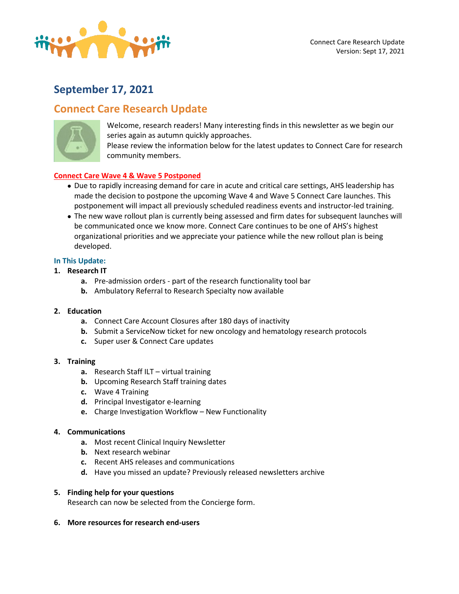

# **September 17, 2021**

# **Connect Care Research Update**



Welcome, research readers! Many interesting finds in this newsletter as we begin our series again as autumn quickly approaches.

Please review the information below for the latest updates to Connect Care for research community members.

# **Connect Care Wave 4 & Wave 5 Postponed**

- Due to rapidly increasing demand for care in acute and critical care settings, AHS leadership has made the decision to postpone the upcoming Wave 4 and Wave 5 Connect Care launches. This postponement will impact all previously scheduled readiness events and instructor-led training.
- The new wave rollout plan is currently being assessed and firm dates for subsequent launches will be communicated once we know more. Connect Care continues to be one of AHS's highest organizational priorities and we appreciate your patience while the new rollout plan is being developed.

## **In This Update:**

## **1. Research IT**

- **a.** Pre-admission orders part of the research functionality tool bar
- **b.** Ambulatory Referral to Research Specialty now available

### **2. Education**

- **a.** Connect Care Account Closures after 180 days of inactivity
- **b.** Submit a ServiceNow ticket for new oncology and hematology research protocols
- **c.** Super user & Connect Care updates

### **3. Training**

- **a.** Research Staff ILT virtual training
- **b.** Upcoming Research Staff training dates
- **c.** Wave 4 Training
- **d.** Principal Investigator e-learning
- **e.** Charge Investigation Workflow New Functionality

### **4. Communications**

- **a.** Most recent Clinical Inquiry Newsletter
- **b.** Next research webinar
- **c.** Recent AHS releases and communications
- **d.** Have you missed an update? Previously released newsletters archive

### **5. Finding help for your questions**

Research can now be selected from the Concierge form.

### **6. More resources for research end-users**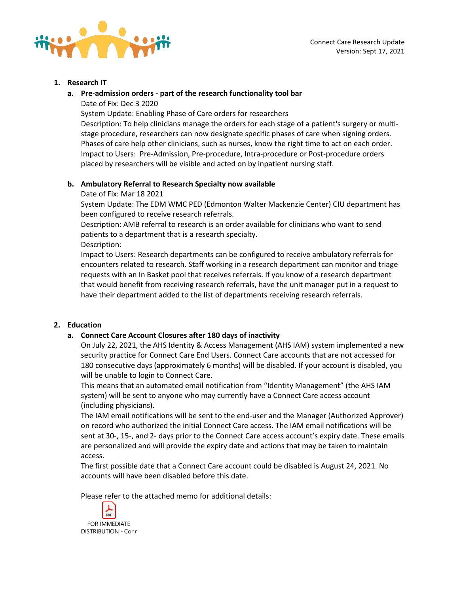



## **1. Research IT**

**a. Pre-admission orders - part of the research functionality tool bar** Date of Fix: Dec 3 2020

System Update: Enabling Phase of Care orders for researchers

Description: To help clinicians manage the orders for each stage of a patient's surgery or multistage procedure, researchers can now designate specific phases of care when signing orders. Phases of care help other clinicians, such as nurses, know the right time to act on each order. Impact to Users: Pre-Admission, Pre-procedure, Intra-procedure or Post-procedure orders placed by researchers will be visible and acted on by inpatient nursing staff.

# **b. Ambulatory Referral to Research Specialty now available**

Date of Fix: Mar 18 2021

System Update: The EDM WMC PED (Edmonton Walter Mackenzie Center) CIU department has been configured to receive research referrals.

Description: AMB referral to research is an order available for clinicians who want to send patients to a department that is a research specialty. Description:

Impact to Users: Research departments can be configured to receive ambulatory referrals for encounters related to research. Staff working in a research department can monitor and triage requests with an In Basket pool that receives referrals. If you know of a research department that would benefit from receiving research referrals, have the unit manager put in a request to have their department added to the list of departments receiving research referrals.

# **2. Education**

# **a. Connect Care Account Closures after 180 days of inactivity**

On July 22, 2021, the AHS Identity & Access Management (AHS IAM) system implemented a new security practice for Connect Care End Users. Connect Care accounts that are not accessed for 180 consecutive days (approximately 6 months) will be disabled. If your account is disabled, you will be unable to login to Connect Care.

This means that an automated email notification from "Identity Management" (the AHS IAM system) will be sent to anyone who may currently have a Connect Care access account (including physicians).

The IAM email notifications will be sent to the end-user and the Manager (Authorized Approver) on record who authorized the initial Connect Care access. The IAM email notifications will be sent at 30-, 15-, and 2- days prior to the Connect Care access account's expiry date. These emails are personalized and will provide the expiry date and actions that may be taken to maintain access.

The first possible date that a Connect Care account could be disabled is August 24, 2021. No accounts will have been disabled before this date.

Please refer to the attached memo for additional details:

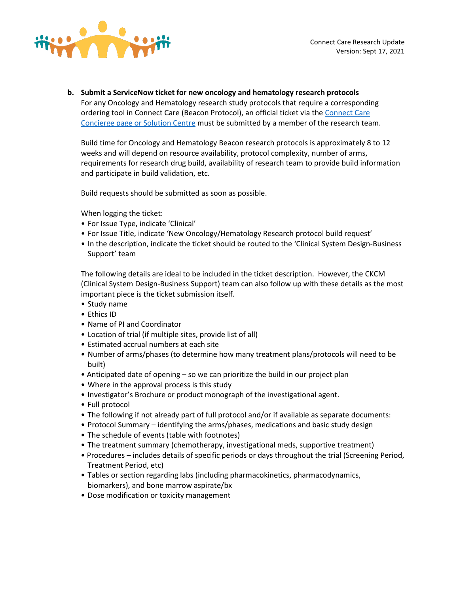

**b. Submit a ServiceNow ticket for new oncology and hematology research protocols** For any Oncology and Hematology research study protocols that require a corresponding ordering tool in Connect Care (Beacon Protocol), an official ticket via th[e Connect Care](https://insite.albertahealthservices.ca/cis/Page23730.aspx)  [Concierge page or Solution Centre](https://insite.albertahealthservices.ca/cis/Page23730.aspx) must be submitted by a member of the research team.

Build time for Oncology and Hematology Beacon research protocols is approximately 8 to 12 weeks and will depend on resource availability, protocol complexity, number of arms, requirements for research drug build, availability of research team to provide build information and participate in build validation, etc.

Build requests should be submitted as soon as possible.

When logging the ticket:

- For Issue Type, indicate 'Clinical'
- For Issue Title, indicate 'New Oncology/Hematology Research protocol build request'
- In the description, indicate the ticket should be routed to the 'Clinical System Design-Business Support' team

The following details are ideal to be included in the ticket description. However, the CKCM (Clinical System Design-Business Support) team can also follow up with these details as the most important piece is the ticket submission itself.

- Study name
- Ethics ID
- Name of PI and Coordinator
- Location of trial (if multiple sites, provide list of all)
- Estimated accrual numbers at each site
- Number of arms/phases (to determine how many treatment plans/protocols will need to be built)
- Anticipated date of opening so we can prioritize the build in our project plan
- Where in the approval process is this study
- Investigator's Brochure or product monograph of the investigational agent.
- Full protocol
- The following if not already part of full protocol and/or if available as separate documents:
- Protocol Summary identifying the arms/phases, medications and basic study design
- The schedule of events (table with footnotes)
- The treatment summary (chemotherapy, investigational meds, supportive treatment)
- Procedures includes details of specific periods or days throughout the trial (Screening Period, Treatment Period, etc)
- Tables or section regarding labs (including pharmacokinetics, pharmacodynamics, biomarkers), and bone marrow aspirate/bx
- Dose modification or toxicity management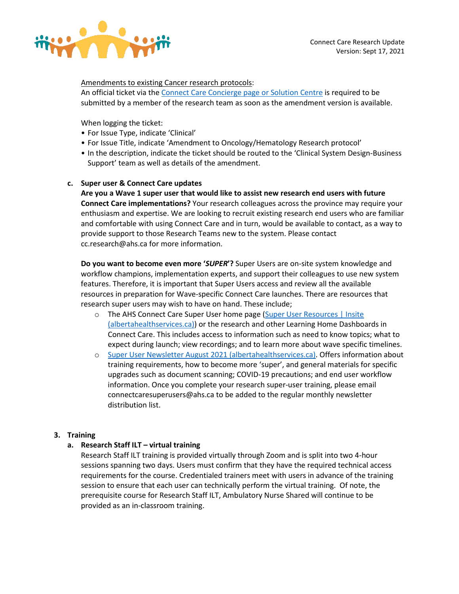

## Amendments to existing Cancer research protocols:

An official ticket via the [Connect Care Concierge page or Solution Centre](https://insite.albertahealthservices.ca/cis/Page23730.aspx) is required to be submitted by a member of the research team as soon as the amendment version is available.

When logging the ticket:

- For Issue Type, indicate 'Clinical'
- For Issue Title, indicate 'Amendment to Oncology/Hematology Research protocol'
- In the description, indicate the ticket should be routed to the 'Clinical System Design-Business Support' team as well as details of the amendment.

# **c. Super user & Connect Care updates**

**Are you a Wave 1 super user that would like to assist new research end users with future Connect Care implementations?** Your research colleagues across the province may require your enthusiasm and expertise. We are looking to recruit existing research end users who are familiar and comfortable with using Connect Care and in turn, would be available to contact, as a way to provide support to those Research Teams new to the system. Please contact cc.research@ahs.ca for more information.

**Do you want to become even more '***SUPER***'?** Super Users are on-site system knowledge and workflow champions, implementation experts, and support their colleagues to use new system features. Therefore, it is important that Super Users access and review all the available resources in preparation for Wave-specific Connect Care launches. There are resources that research super users may wish to have on hand. These include;

- o The AHS Connect Care Super User home page [\(Super User Resources | Insite](https://insite.albertahealthservices.ca/cis/Page23883.aspx)  [\(albertahealthservices.ca\)\)](https://insite.albertahealthservices.ca/cis/Page23883.aspx) or the research and other Learning Home Dashboards in Connect Care. This includes access to information such as need to know topics; what to expect during launch; view recordings; and to learn more about wave specific timelines.
- o [Super User Newsletter August 2021 \(albertahealthservices.ca\).](https://insite.albertahealthservices.ca/main/assets/cis/tms-cis-su-newsletter-2021-08.pdf) Offers information about training requirements, how to become more 'super', and general materials for specific upgrades such as document scanning; COVID-19 precautions; and end user workflow information. Once you complete your research super-user training, please email connectcaresuperusers@ahs.ca to be added to the regular monthly newsletter distribution list.

# **3. Training**

# **a. Research Staff ILT – virtual training**

Research Staff ILT training is provided virtually through Zoom and is split into two 4-hour sessions spanning two days. Users must confirm that they have the required technical access requirements for the course. Credentialed trainers meet with users in advance of the training session to ensure that each user can technically perform the virtual training. Of note, the prerequisite course for Research Staff ILT, Ambulatory Nurse Shared will continue to be provided as an in-classroom training.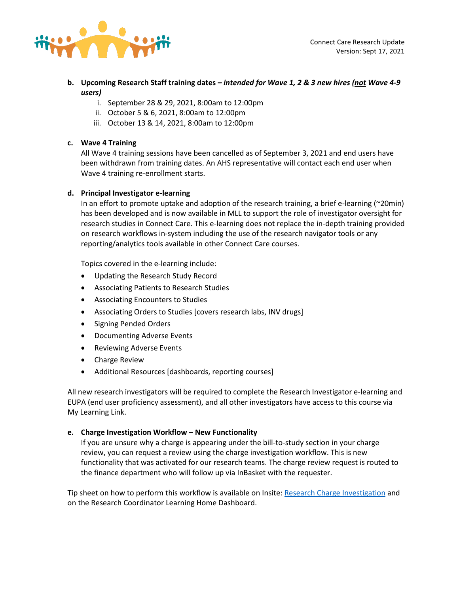

- **b. Upcoming Research Staff training dates** *– intended for Wave 1, 2 & 3 new hires (not Wave 4-9 users)*
	- i. September 28 & 29, 2021, 8:00am to 12:00pm
	- ii. October 5 & 6, 2021, 8:00am to 12:00pm
	- iii. October 13 & 14, 2021, 8:00am to 12:00pm

# **c. Wave 4 Training**

All Wave 4 training sessions have been cancelled as of September 3, 2021 and end users have been withdrawn from training dates. An AHS representative will contact each end user when Wave 4 training re-enrollment starts.

# **d. Principal Investigator e-learning**

In an effort to promote uptake and adoption of the research training, a brief e-learning (~20min) has been developed and is now available in MLL to support the role of investigator oversight for research studies in Connect Care. This e-learning does not replace the in-depth training provided on research workflows in-system including the use of the research navigator tools or any reporting/analytics tools available in other Connect Care courses.

Topics covered in the e-learning include:

- Updating the Research Study Record
- Associating Patients to Research Studies
- Associating Encounters to Studies
- Associating Orders to Studies [covers research labs, INV drugs]
- Signing Pended Orders
- Documenting Adverse Events
- Reviewing Adverse Events
- Charge Review
- Additional Resources [dashboards, reporting courses]

All new research investigators will be required to complete the Research Investigator e-learning and EUPA (end user proficiency assessment), and all other investigators have access to this course via My Learning Link.

# **e. Charge Investigation Workflow – New Functionality**

If you are unsure why a charge is appearing under the bill-to-study section in your charge review, you can request a review using the charge investigation workflow. This is new functionality that was activated for our research teams. The charge review request is routed to the finance department who will follow up via InBasket with the requester.

Tip sheet on how to perform this workflow is available on Insite[: Research Charge Investigation](https://insite.albertahealthservices.ca/Main/assets/cistr/tms-cis-tr-research-staff-charge-investigation.pdf) and on the Research Coordinator Learning Home Dashboard.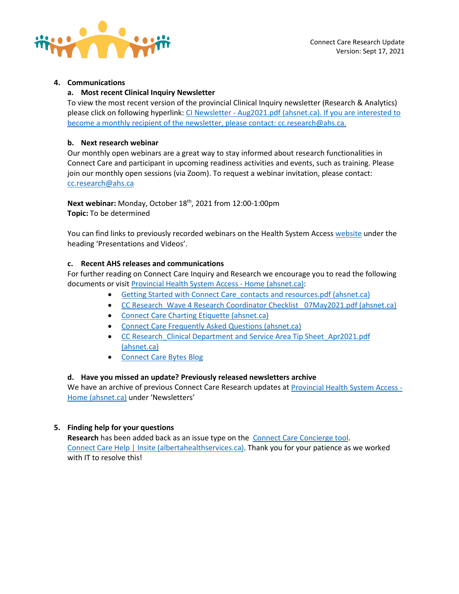

# **4. Communications**

## **a. Most recent Clinical Inquiry Newsletter**

To view the most recent version of the provincial Clinical Inquiry newsletter (Research & Analytics) please click on following hyperlink: CI Newsletter - [Aug2021.pdf \(ahsnet.ca\).](https://extranet.ahsnet.ca/teams/CCCommunity/CCWG/Documents/CI%20Newsletter%20-%20Aug2021.pdf) If you are interested to become a monthly recipient of the newsletter, please contact: [cc.research@ahs.ca.](mailto:CC.research@ahs.ca)

## **b. Next research webinar**

Our monthly open webinars are a great way to stay informed about research functionalities in Connect Care and participant in upcoming readiness activities and events, such as training. Please join our monthly open sessions (via Zoom). To request a webinar invitation, please contact: [cc.research@ahs.ca](mailto:CC.research@ahs.ca)

**Next webinar:** Monday, October 18th, 2021 from 12:00-1:00pm **Topic:** To be determined

You can find links to previously recorded webinars on the Health System Acces[s website](https://extranet.ahsnet.ca/teams/AHSRA/SitePages/Home.aspx) under the heading 'Presentations and Videos'.

## **c. Recent AHS releases and communications**

For further reading on Connect Care Inquiry and Research we encourage you to read the following documents or visit [Provincial Health System Access -](https://extranet.ahsnet.ca/teams/AHSRA/SitePages/Home.aspx) Home (ahsnet.ca):

- [Getting Started with Connect Care\\_contacts and resources.pdf \(ahsnet.ca\)](https://extranet.ahsnet.ca/teams/AHSRA/Connect%20Care%20Library/Getting%20Started%20with%20Connect%20Care_contacts%20and%20resources.pdf)
- CC Research Wave 4 Research Coordinator Checklist 07May2021.pdf (ahsnet.ca)
- [Connect Care Charting Etiquette \(ahsnet.ca\)](https://extranet.ahsnet.ca/teams/AHSRA/Connect%20Care%20Library/AHS_CC_Research_Charting_Etiquette.pdf)
- [Connect Care Frequently Asked Questions \(ahsnet.ca\)](https://extranet.ahsnet.ca/teams/AHSRA/Connect%20Care%20Library/Connect%20Care%20FAQs.pdf)
- [CC Research\\_Clinical Department and Service Area Tip Sheet\\_Apr2021.pdf](https://extranet.ahsnet.ca/teams/AHSRA/Connect%20Care%20Library/CC%20Research_Clinical%20Department%20and%20Service%20Area%20Tip%20Sheet_Apr2021.pdf)  [\(ahsnet.ca\)](https://extranet.ahsnet.ca/teams/AHSRA/Connect%20Care%20Library/CC%20Research_Clinical%20Department%20and%20Service%20Area%20Tip%20Sheet_Apr2021.pdf)
- [Connect Care Bytes Blog](http://www.bytesblog.ca/)

# **d. Have you missed an update? Previously released newsletters archive**

We have an archive of previous Connect Care Research updates a[t Provincial Health System Access -](https://extranet.ahsnet.ca/teams/AHSRA/SitePages/Home.aspx) [Home \(ahsnet.ca\)](https://extranet.ahsnet.ca/teams/AHSRA/SitePages/Home.aspx) under 'Newsletters'

# **5. Finding help for your questions**

**Research** has been added back as an issue type on the [Connect Care Concierge tool.](https://insite.albertahealthservices.ca/Main/cc/SitePages/ConnectCareHelp.aspx) [Connect Care Help | Insite \(albertahealthservices.ca\).](https://insite.albertahealthservices.ca/Main/cc/SitePages/ConnectCareHelp.aspx) Thank you for your patience as we worked with IT to resolve this!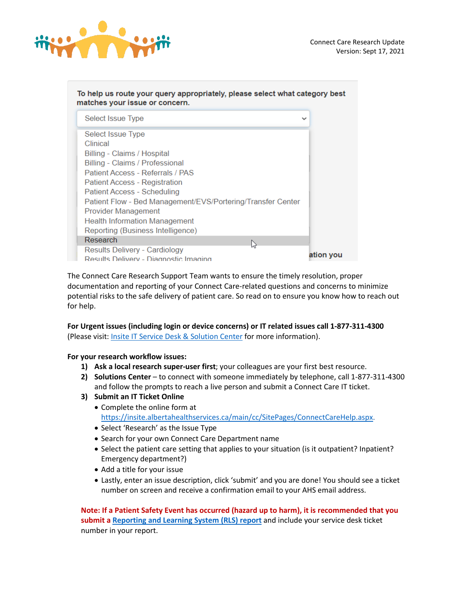

| To help us route your query appropriately, please select what category best<br>matches your issue or concern. |              |  |
|---------------------------------------------------------------------------------------------------------------|--------------|--|
| Select Issue Type                                                                                             | $\checkmark$ |  |
| Select Issue Type                                                                                             |              |  |
| Clinical                                                                                                      |              |  |
| Billing - Claims / Hospital                                                                                   |              |  |
| Billing - Claims / Professional                                                                               |              |  |
| Patient Access - Referrals / PAS                                                                              |              |  |
| Patient Access - Registration                                                                                 |              |  |
| Patient Access - Scheduling                                                                                   |              |  |
| Patient Flow - Bed Management/EVS/Portering/Transfer Center                                                   |              |  |
| Provider Management                                                                                           |              |  |
| <b>Health Information Management</b>                                                                          |              |  |
| Reporting (Business Intelligence)                                                                             |              |  |
| Research<br>じ                                                                                                 |              |  |
| Results Delivery - Cardiology                                                                                 |              |  |
| Results Delivery - Diagnostic Imaging                                                                         | ation you    |  |

The Connect Care Research Support Team wants to ensure the timely resolution, proper documentation and reporting of your Connect Care-related questions and concerns to minimize potential risks to the safe delivery of patient care. So read on to ensure you know how to reach out for help.

# **For Urgent issues (including login or device concerns) or IT related issues call 1-877-311-4300**  (Please visit: **Insite IT Service Desk & Solution Center** for more information).

**For your research workflow issues:** 

- **1) Ask a local research super-user first**; your colleagues are your first best resource.
- **2) Solutions Center**  to connect with someone immediately by telephone, call 1-877-311-4300 and follow the prompts to reach a live person and submit a Connect Care IT ticket.
- **3) Submit an IT Ticket Online**
	- Complete the online form at [https://insite.albertahealthservices.ca/main/cc/SitePages/ConnectCareHelp.aspx.](https://insite.albertahealthservices.ca/main/cc/SitePages/ConnectCareHelp.aspx)
	- Select 'Research' as the Issue Type
	- Search for your own Connect Care Department name
	- Select the patient care setting that applies to your situation (is it outpatient? Inpatient? Emergency department?)
	- Add a title for your issue
	- Lastly, enter an issue description, click 'submit' and you are done! You should see a ticket number on screen and receive a confirmation email to your AHS email address.

**Note: If a Patient Safety Event has occurred (hazard up to harm), it is recommended that you submit a [Reporting and Learning System \(RLS\) report](https://insite.albertahealthservices.ca/tools/rls/Page1284.aspx)** and include your service desk ticket number in your report.